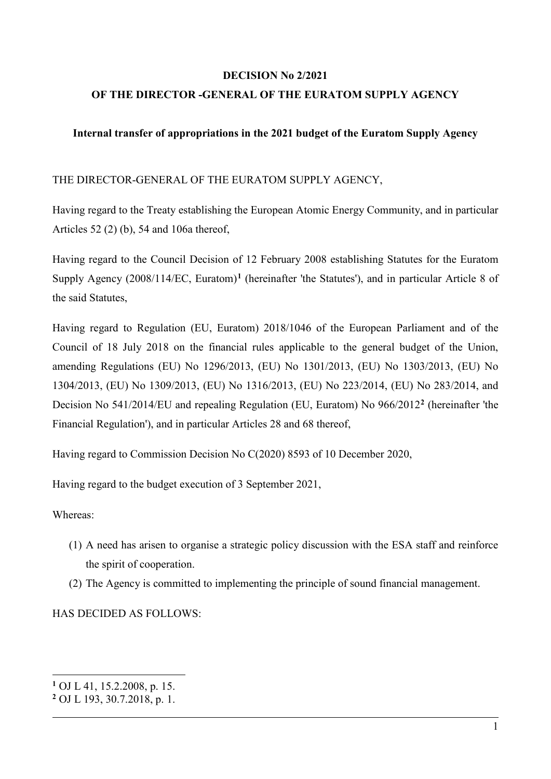## **DECISION No 2/2021**

# **OF THE DIRECTOR -GENERAL OF THE EURATOM SUPPLY AGENCY**

## **Internal transfer of appropriations in the 2021 budget of the Euratom Supply Agency**

#### THE DIRECTOR-GENERAL OF THE EURATOM SUPPLY AGENCY,

Having regard to the Treaty establishing the European Atomic Energy Community, and in particular Articles 52 (2) (b), 54 and 106a thereof,

Having regard to the Council Decision of 12 February 2008 establishing Statutes for the Euratom Supply Agency (2008/114/EC, Euratom)**[1](#page-0-0)** (hereinafter 'the Statutes'), and in particular Article 8 of the said Statutes,

Having regard to Regulation (EU, Euratom) 2018/1046 of the European Parliament and of the Council of 18 July 2018 on the financial rules applicable to the general budget of the Union, amending Regulations (EU) No 1296/2013, (EU) No 1301/2013, (EU) No 1303/2013, (EU) No 1304/2013, (EU) No 1309/2013, (EU) No 1316/2013, (EU) No 223/2014, (EU) No 283/2014, and Decision No 541/2014/EU and repealing Regulation (EU, Euratom) No 966/2012**[2](#page-0-1)** (hereinafter 'the Financial Regulation'), and in particular Articles 28 and 68 thereof,

Having regard to Commission Decision No C(2020) 8593 of 10 December 2020,

Having regard to the budget execution of 3 September 2021,

## Whereas:

-

- (1) A need has arisen to organise a strategic policy discussion with the ESA staff and reinforce the spirit of cooperation.
- (2) The Agency is committed to implementing the principle of sound financial management.

HAS DECIDED AS FOLLOWS:

<span id="page-0-0"></span>**<sup>1</sup>** OJ L 41, 15.2.2008, p. 15.

<span id="page-0-1"></span>**<sup>2</sup>** OJ L 193, 30.7.2018, p. 1.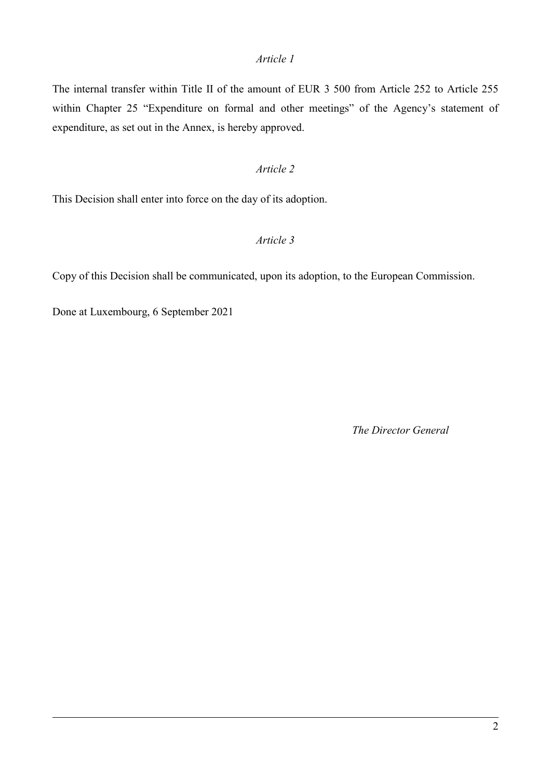## *Article 1*

The internal transfer within Title II of the amount of EUR 3 500 from Article 252 to Article 255 within Chapter 25 "Expenditure on formal and other meetings" of the Agency's statement of expenditure, as set out in the Annex, is hereby approved.

# *Article 2*

This Decision shall enter into force on the day of its adoption.

## *Article 3*

Copy of this Decision shall be communicated, upon its adoption, to the European Commission.

Done at Luxembourg, 6 September 2021

*The Director General*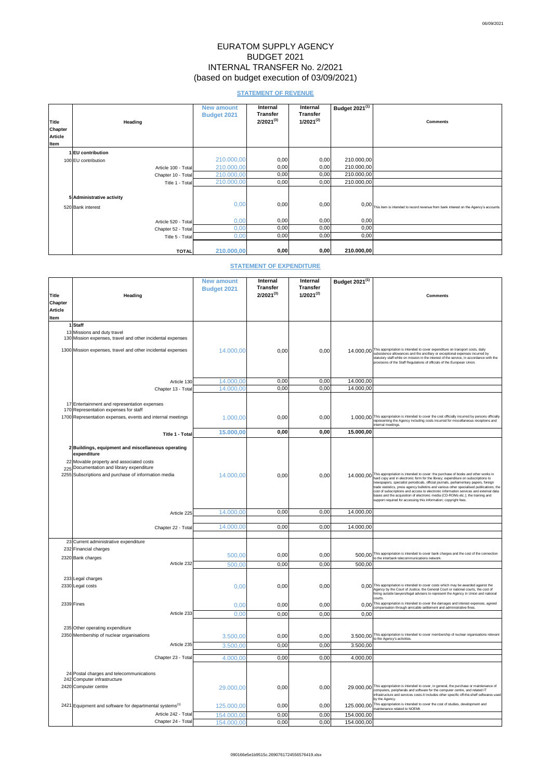# EURATOM SUPPLY AGENCY BUDGET 2021 INTERNAL TRANSFER No. 2/2021 (based on budget execution of 03/09/2021)

# **STATEMENT OF REVENUE**

| <b>Title</b><br><b>Chapter</b><br><b>Article</b><br>Item | <b>Heading</b>                                 | <b>New amount</b><br><b>Budget 2021</b> | <b>Internal</b><br><b>Transfer</b><br>$2/2021^{(3)}$ | <b>Internal</b><br><b>Transfer</b><br>$1/2021^{(2)}$ | Budget $2021^{(1)}$ | <b>Comments</b>                                                                      |
|----------------------------------------------------------|------------------------------------------------|-----------------------------------------|------------------------------------------------------|------------------------------------------------------|---------------------|--------------------------------------------------------------------------------------|
|                                                          | I EU contribution                              |                                         |                                                      |                                                      |                     |                                                                                      |
|                                                          | 100 EU contribution                            | 210.000,00                              | 0,00                                                 | 0,00                                                 | 210.000,00          |                                                                                      |
|                                                          | Article 100 - Total                            | 210.000,00                              | 0,00                                                 | 0,00                                                 | 210.000,00          |                                                                                      |
|                                                          | Chapter 10 - Total                             | 210.000,00                              | 0,00                                                 | 0,00                                                 | 210.000,00          |                                                                                      |
|                                                          | Title 1 - Total                                | 210.000,00                              | 0,00                                                 | 0,00                                                 | 210.000,00          |                                                                                      |
|                                                          | 5 Administrative activity<br>520 Bank interest | 0,00                                    | 0,00                                                 | 0,00                                                 | 0,00                | This item is intended to record revenue from bank interest on the Agency's accounts. |
|                                                          | Article 520 - Total                            | 0,00                                    | 0,00                                                 | 0,00                                                 | 0,00                |                                                                                      |
|                                                          | Chapter 52 - Total                             | 0,00                                    | 0,00                                                 | 0,00                                                 | 0,00                |                                                                                      |
|                                                          | Title 5 - Total                                | 0,00                                    | 0,00                                                 | 0,00                                                 | 0,00                |                                                                                      |
|                                                          | <b>TOTAL</b>                                   | 210.000,00                              | 0,00                                                 | 0,00                                                 | 210.000,00          |                                                                                      |

# **STATEMENT OF EXPENDITURE**

|                                |                                                                                           | <b>New amount</b>  | <b>Internal</b>                   | <b>Internal</b>                   | Budget 2021 <sup>(1)</sup> |                                                                                                                                                                                                                                                                                                                                               |
|--------------------------------|-------------------------------------------------------------------------------------------|--------------------|-----------------------------------|-----------------------------------|----------------------------|-----------------------------------------------------------------------------------------------------------------------------------------------------------------------------------------------------------------------------------------------------------------------------------------------------------------------------------------------|
|                                |                                                                                           | <b>Budget 2021</b> | <b>Transfer</b><br>$2/2021^{(3)}$ | <b>Transfer</b><br>$1/2021^{(2)}$ |                            |                                                                                                                                                                                                                                                                                                                                               |
| <b>Title</b><br><b>Chapter</b> | Heading                                                                                   |                    |                                   |                                   |                            | <b>Comments</b>                                                                                                                                                                                                                                                                                                                               |
| <b>Article</b>                 |                                                                                           |                    |                                   |                                   |                            |                                                                                                                                                                                                                                                                                                                                               |
| <b>I</b> tem                   |                                                                                           |                    |                                   |                                   |                            |                                                                                                                                                                                                                                                                                                                                               |
|                                | 1 Staff                                                                                   |                    |                                   |                                   |                            |                                                                                                                                                                                                                                                                                                                                               |
|                                | 13 Missions and duty travel<br>130 Mission expenses, travel and other incidental expenses |                    |                                   |                                   |                            |                                                                                                                                                                                                                                                                                                                                               |
|                                |                                                                                           |                    |                                   |                                   |                            |                                                                                                                                                                                                                                                                                                                                               |
|                                | 1300 Mission expenses, travel and other incidental expenses                               | 14.000,00          | 0,00                              | 0,00                              |                            | 14.000,00 This appropriation is intended to cover expenditure on transport costs, daily<br>subsistence allowances and the ancillary or exceptional expenses incurred by<br>statutory staff while on mission in the interest of the service, in accordance with the<br>provisions of the Staff Regulations of officials of the European Union. |
|                                |                                                                                           |                    |                                   |                                   |                            |                                                                                                                                                                                                                                                                                                                                               |
|                                | Article 130                                                                               | 14.000,00          | 0,00                              | 0,00                              | 14.000,00                  |                                                                                                                                                                                                                                                                                                                                               |
|                                | Chapter 13 - Total                                                                        | 14.000,00          | 0,00                              | 0,00                              | 14.000,00                  |                                                                                                                                                                                                                                                                                                                                               |
|                                |                                                                                           |                    |                                   |                                   |                            |                                                                                                                                                                                                                                                                                                                                               |
|                                | 17 Entertainment and representation expenses<br>170 Representation expenses for staff     |                    |                                   |                                   |                            |                                                                                                                                                                                                                                                                                                                                               |
|                                | 1700 Representation expenses, events and internal meetings                                | 1.000,00           | 0,00                              | 0,00                              |                            | 1.000,00 This appropriation is intended to cover the cost officially incurred by persons officially                                                                                                                                                                                                                                           |
|                                |                                                                                           |                    |                                   |                                   |                            | representing the Agency including costs incurred for miscellaneous receptions and<br>internal meetings.                                                                                                                                                                                                                                       |
|                                | Title 1 - Total                                                                           | 15.000,00          | 0,00                              | 0,00                              | 15.000,00                  |                                                                                                                                                                                                                                                                                                                                               |
|                                |                                                                                           |                    |                                   |                                   |                            |                                                                                                                                                                                                                                                                                                                                               |
|                                | 2 Buildings, equipment and miscellaneous operating<br>expenditure                         |                    |                                   |                                   |                            |                                                                                                                                                                                                                                                                                                                                               |
|                                | 22 Movable property and associated costs                                                  |                    |                                   |                                   |                            |                                                                                                                                                                                                                                                                                                                                               |
|                                | 225 Documentation and library expenditure                                                 |                    |                                   |                                   |                            | 14.000,00 This appropriation is intended to cover: the purchase of books and other works in                                                                                                                                                                                                                                                   |
|                                | 2255 Subscriptions and purchase of information media                                      | 14.000,00          | 0,00                              | 0,00                              |                            | hard copy and in electronic form for the library; expenditure on subscriptions to<br>newspapers, specialist periodicals, official journals, parliamentary papers, foreign                                                                                                                                                                     |
|                                |                                                                                           |                    |                                   |                                   |                            | trade statistics, press agency bulletins and various other specialised publications; the<br>cost of subscriptions and access to electronic information services and external data                                                                                                                                                             |
|                                |                                                                                           |                    |                                   |                                   |                            | bases and the acquisition of electronic media (CD-ROMs etc.); the training and<br>support required for accessing this information; copyright fees.                                                                                                                                                                                            |
|                                |                                                                                           |                    |                                   |                                   |                            |                                                                                                                                                                                                                                                                                                                                               |
|                                | Article 225                                                                               | 14.000,00          | 0,00                              | 0,00                              | 14.000,00                  |                                                                                                                                                                                                                                                                                                                                               |
|                                | Chapter 22 - Total                                                                        | 14.000,00          | 0,00                              | 0,00                              | 14.000,00                  |                                                                                                                                                                                                                                                                                                                                               |
|                                |                                                                                           |                    |                                   |                                   |                            |                                                                                                                                                                                                                                                                                                                                               |
|                                | 23 Current administrative expenditure                                                     |                    |                                   |                                   |                            |                                                                                                                                                                                                                                                                                                                                               |
|                                | 232 Financial charges                                                                     | 500,00             | 0,00                              | 0,00                              |                            | 500,00 This appropriation is intended to cover bank charges and the cost of the connection<br>to the interbank telecommunications network.                                                                                                                                                                                                    |
|                                | 2320 Bank charges<br>Article 232                                                          | 500,00             | 0,00                              | 0,00                              | 500,00                     |                                                                                                                                                                                                                                                                                                                                               |
|                                |                                                                                           |                    |                                   |                                   |                            |                                                                                                                                                                                                                                                                                                                                               |
|                                | 233 Legal charges                                                                         |                    |                                   |                                   |                            |                                                                                                                                                                                                                                                                                                                                               |
|                                | 2330 Legal costs                                                                          | 0,00               | 0,00                              | 0,00                              |                            | 0,00 This appropriation is intended to cover costs which may be awarded against the Agency by the Court of Justice, the General Court or national courts, the cost of                                                                                                                                                                         |
|                                |                                                                                           |                    |                                   |                                   |                            | hiring outside lawyers/legal advisers to represent the Agency in Union and national<br>courts.                                                                                                                                                                                                                                                |
|                                | $2339$ Fines                                                                              | 0,00               | 0,00                              | 0,00                              | 0.00                       | This appropriation is intended to cover the damages and interest expenses, agreed<br>compensation through amicable settlement and administrative fines.                                                                                                                                                                                       |
|                                | Article 233                                                                               | 0,00               | 0,00                              | 0,00                              | 0,00                       |                                                                                                                                                                                                                                                                                                                                               |
|                                |                                                                                           |                    |                                   |                                   |                            |                                                                                                                                                                                                                                                                                                                                               |
|                                | 235 Other operating expenditure<br>2350 Membership of nuclear organisations               | 3.500,00           | 0,00                              | 0,00                              |                            | 3.500,00 This appropriation is intended to cover membership of nuclear organisations relevant<br>to the Agency's activities.                                                                                                                                                                                                                  |
|                                | Article 235                                                                               | 3.500,00           | 0,00                              | 0,00                              | 3.500,00                   |                                                                                                                                                                                                                                                                                                                                               |
|                                |                                                                                           |                    |                                   |                                   |                            |                                                                                                                                                                                                                                                                                                                                               |
|                                | Chapter 23 - Total                                                                        | 4.000,00           | 0,00                              | 0,00                              | 4.000,00                   |                                                                                                                                                                                                                                                                                                                                               |
|                                |                                                                                           |                    |                                   |                                   |                            |                                                                                                                                                                                                                                                                                                                                               |
|                                | 24 Postal charges and telecommunications<br>242 Computer infrastructure                   |                    |                                   |                                   |                            |                                                                                                                                                                                                                                                                                                                                               |
|                                | 2420 Computer centre                                                                      | 29.000,00          | 0,00                              | 0,00                              |                            | 29.000,00 This appropriation is intended to cover, in general, the purchase or maintenance of<br>computers, peripherals and software for the computer centre, and related IT                                                                                                                                                                  |
|                                |                                                                                           |                    |                                   |                                   |                            | infrastructure and services costs. It includes other specific off-the-shelf softwares used<br>by the Agency.                                                                                                                                                                                                                                  |
|                                | $2421$ Equipment and software for departmental systems <sup>(1)</sup>                     | 125.000,00         | 0,00                              | 0,00                              |                            | 125.000,00 This appropriation is intended to cover the cost of studies, development and                                                                                                                                                                                                                                                       |
|                                | Article 242 - Total                                                                       | 154.000,00         | 0,00                              | 0,00                              | 154.000,00                 | maintenance related to NOEMI.                                                                                                                                                                                                                                                                                                                 |
|                                | Chapter 24 - Total                                                                        | 154.000,00         | 0,00                              | 0,00                              | 154.000,00                 |                                                                                                                                                                                                                                                                                                                                               |